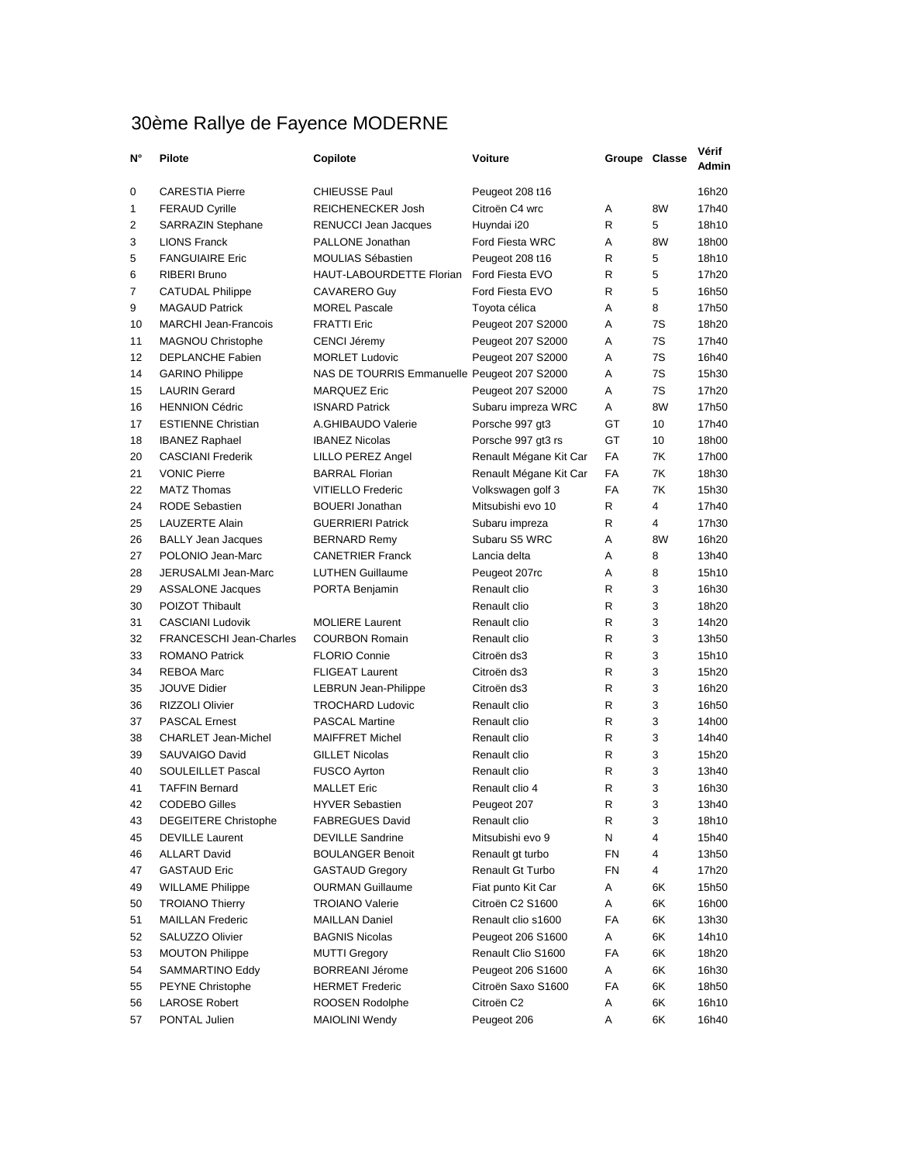## 30ème Rallye de Fayence MODERNE

| N°             | Pilote                         | Copilote                                    | Voiture                | Groupe Classe |    | Verit<br>Admin |
|----------------|--------------------------------|---------------------------------------------|------------------------|---------------|----|----------------|
| 0              | <b>CARESTIA Pierre</b>         | <b>CHIEUSSE Paul</b>                        | Peugeot 208 t16        |               |    | 16h20          |
| 1              | <b>FERAUD Cyrille</b>          | REICHENECKER Josh                           | Citroën C4 wrc         | Α             | 8W | 17h40          |
| 2              | <b>SARRAZIN Stephane</b>       | <b>RENUCCI Jean Jacques</b>                 | Huyndai i20            | R             | 5  | 18h10          |
| 3              | <b>LIONS Franck</b>            | PALLONE Jonathan                            | Ford Fiesta WRC        | Α             | 8W | 18h00          |
| 5              | <b>FANGUIAIRE Eric</b>         | <b>MOULIAS Sébastien</b>                    | Peugeot 208 t16        | R             | 5  | 18h10          |
| 6              | <b>RIBERI Bruno</b>            | HAUT-LABOURDETTE Florian                    | Ford Fiesta EVO        | R             | 5  | 17h20          |
| $\overline{7}$ | <b>CATUDAL Philippe</b>        | CAVARERO Guy                                | Ford Fiesta EVO        | R             | 5  | 16h50          |
| 9              | <b>MAGAUD Patrick</b>          | <b>MOREL Pascale</b>                        | Toyota célica          | A             | 8  | 17h50          |
| 10             | <b>MARCHI Jean-Francois</b>    | <b>FRATTI Eric</b>                          | Peugeot 207 S2000      | A             | 7S | 18h20          |
| 11             | <b>MAGNOU Christophe</b>       | CENCI Jéremy                                | Peugeot 207 S2000      | Α             | 7S | 17h40          |
| 12             | <b>DEPLANCHE Fabien</b>        | <b>MORLET Ludovic</b>                       | Peugeot 207 S2000      | A             | 7S | 16h40          |
| 14             | <b>GARINO Philippe</b>         | NAS DE TOURRIS Emmanuelle Peugeot 207 S2000 |                        | Α             | 7S | 15h30          |
| 15             | <b>LAURIN Gerard</b>           | <b>MARQUEZ Eric</b>                         | Peugeot 207 S2000      | A             | 7S | 17h20          |
| 16             | <b>HENNION Cédric</b>          | <b>ISNARD Patrick</b>                       | Subaru impreza WRC     | A             | 8W | 17h50          |
| 17             | <b>ESTIENNE Christian</b>      | A.GHIBAUDO Valerie                          | Porsche 997 gt3        | GT            | 10 | 17h40          |
| 18             | <b>IBANEZ Raphael</b>          | <b>IBANEZ Nicolas</b>                       | Porsche 997 gt3 rs     | GT            | 10 | 18h00          |
| 20             | <b>CASCIANI Frederik</b>       | LILLO PEREZ Angel                           | Renault Mégane Kit Car | FA            | 7K | 17h00          |
| 21             | <b>VONIC Pierre</b>            | <b>BARRAL Florian</b>                       | Renault Mégane Kit Car | FA            | 7K | 18h30          |
| 22             | <b>MATZ Thomas</b>             | <b>VITIELLO Frederic</b>                    | Volkswagen golf 3      | FA            | 7K | 15h30          |
| 24             | <b>RODE Sebastien</b>          | <b>BOUERI</b> Jonathan                      | Mitsubishi evo 10      | R             | 4  | 17h40          |
| 25             | <b>LAUZERTE Alain</b>          | <b>GUERRIERI Patrick</b>                    | Subaru impreza         | R             | 4  | 17h30          |
| 26             | <b>BALLY Jean Jacques</b>      | <b>BERNARD Remy</b>                         | Subaru S5 WRC          | Α             | 8W | 16h20          |
| 27             | POLONIO Jean-Marc              | <b>CANETRIER Franck</b>                     | Lancia delta           | A             | 8  | 13h40          |
| 28             | JERUSALMI Jean-Marc            | <b>LUTHEN Guillaume</b>                     | Peugeot 207rc          | A             | 8  | 15h10          |
| 29             | <b>ASSALONE Jacques</b>        | PORTA Benjamin                              | Renault clio           | R             | 3  | 16h30          |
| 30             | POIZOT Thibault                |                                             | Renault clio           | R             | 3  | 18h20          |
| 31             | <b>CASCIANI Ludovik</b>        | <b>MOLIERE Laurent</b>                      | Renault clio           | R             | 3  | 14h20          |
| 32             |                                |                                             |                        | R             | 3  |                |
| 33             | <b>FRANCESCHI Jean-Charles</b> | <b>COURBON Romain</b>                       | Renault clio           | R             | 3  | 13h50          |
|                | <b>ROMANO Patrick</b>          | <b>FLORIO Connie</b>                        | Citroën ds3            | R             |    | 15h10          |
| 34             | <b>REBOA Marc</b>              | <b>FLIGEAT Laurent</b>                      | Citroën ds3            |               | 3  | 15h20          |
| 35             | <b>JOUVE Didier</b>            | <b>LEBRUN Jean-Philippe</b>                 | Citroën ds3            | R             | 3  | 16h20          |
| 36             | <b>RIZZOLI Olivier</b>         | <b>TROCHARD Ludovic</b>                     | Renault clio           | R             | 3  | 16h50          |
| 37             | <b>PASCAL Ernest</b>           | <b>PASCAL Martine</b>                       | Renault clio           | R             | 3  | 14h00          |
| 38             | <b>CHARLET Jean-Michel</b>     | <b>MAIFFRET Michel</b>                      | Renault clio           | R             | 3  | 14h40          |
| 39             | SAUVAIGO David                 | <b>GILLET Nicolas</b>                       | Renault clio           | R             | 3  | 15h20          |
| 40             | <b>SOULEILLET Pascal</b>       | <b>FUSCO Ayrton</b>                         | Renault clio           | R             | 3  | 13h40          |
| 41             | <b>TAFFIN Bernard</b>          | <b>MALLET Eric</b>                          | Renault clio 4         | R             | 3  | 16h30          |
| 42             | <b>CODEBO Gilles</b>           | <b>HYVER Sebastien</b>                      | Peugeot 207            | R             | 3  | 13h40          |
| 43             | <b>DEGEITERE Christophe</b>    | <b>FABREGUES David</b>                      | Renault clio           | R             | 3  | 18h10          |
| 45             | <b>DEVILLE Laurent</b>         | <b>DEVILLE Sandrine</b>                     | Mitsubishi evo 9       | N             | 4  | 15h40          |
| 46             | <b>ALLART David</b>            | <b>BOULANGER Benoit</b>                     | Renault gt turbo       | FN            | 4  | 13h50          |
| 47             | <b>GASTAUD Eric</b>            | <b>GASTAUD Gregory</b>                      | Renault Gt Turbo       | FN            | 4  | 17h20          |
| 49             | <b>WILLAME Philippe</b>        | <b>OURMAN Guillaume</b>                     | Fiat punto Kit Car     | Α             | 6K | 15h50          |
| 50             | <b>TROIANO Thierry</b>         | <b>TROIANO Valerie</b>                      | Citroën C2 S1600       | Α             | 6K | 16h00          |
| 51             | <b>MAILLAN Frederic</b>        | <b>MAILLAN Daniel</b>                       | Renault clio s1600     | FA            | 6K | 13h30          |
| 52             | SALUZZO Olivier                | <b>BAGNIS Nicolas</b>                       | Peugeot 206 S1600      | Α             | 6K | 14h10          |
| 53             | <b>MOUTON Philippe</b>         | <b>MUTTI Gregory</b>                        | Renault Clio S1600     | FA            | 6K | 18h20          |
| 54             | SAMMARTINO Eddy                | <b>BORREANI Jérome</b>                      | Peugeot 206 S1600      | Α             | 6K | 16h30          |
| 55             | <b>PEYNE Christophe</b>        | <b>HERMET Frederic</b>                      | Citroën Saxo S1600     | FA            | 6K | 18h50          |
| 56             | <b>LAROSE Robert</b>           | ROOSEN Rodolphe                             | Citroën C2             | Α             | 6K | 16h10          |
| 57             | PONTAL Julien                  | <b>MAIOLINI Wendy</b>                       | Peugeot 206            | Α             | 6K | 16h40          |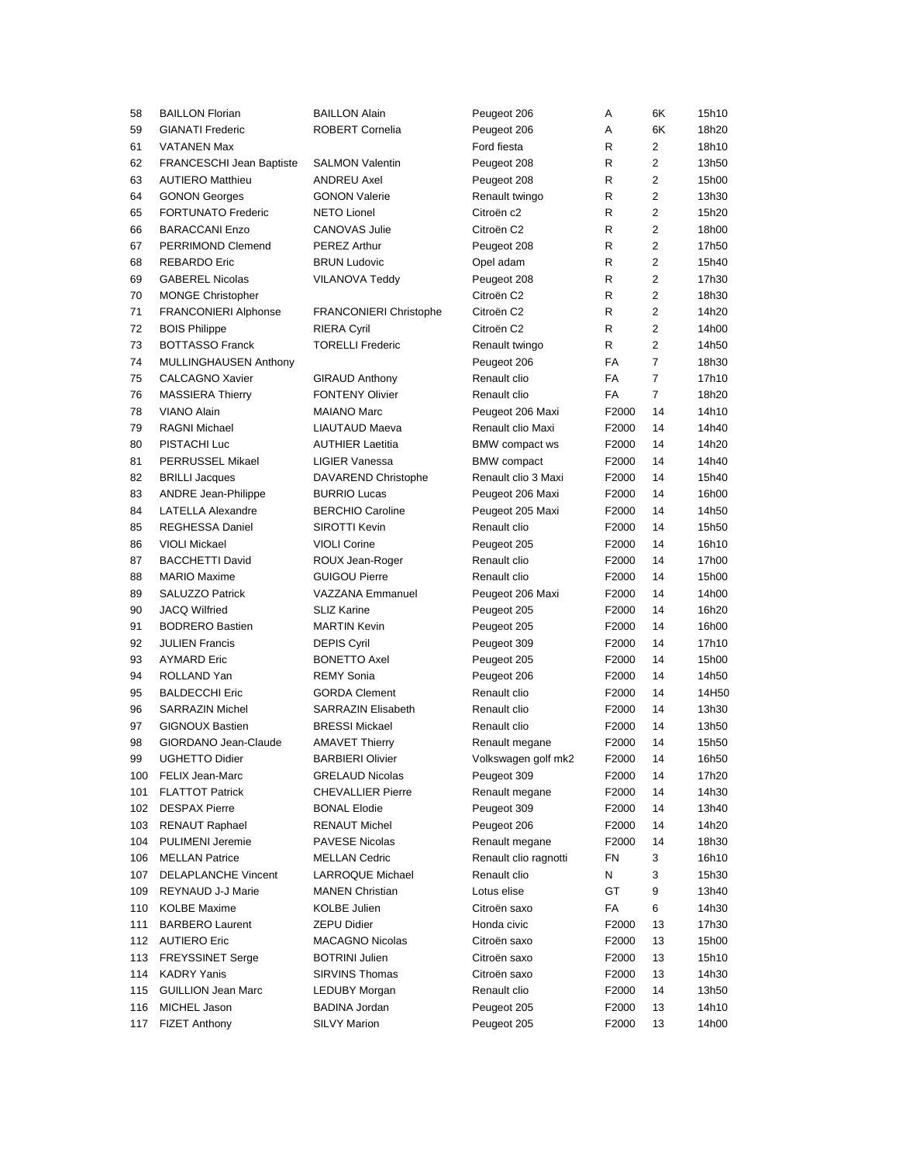| 58  | <b>BAILLON Florian</b>          | BAILLON Alain                 | Peugeot 206           | Α     | 6K             | 15h10 |
|-----|---------------------------------|-------------------------------|-----------------------|-------|----------------|-------|
| 59  | <b>GIANATI Frederic</b>         | ROBERT Cornelia               | Peugeot 206           | Α     | 6K             | 18h20 |
| 61  | <b>VATANEN Max</b>              |                               | Ford fiesta           | R     | 2              | 18h10 |
| 62  | <b>FRANCESCHI Jean Baptiste</b> | <b>SALMON Valentin</b>        | Peugeot 208           | R     | 2              | 13h50 |
| 63  | <b>AUTIERO Matthieu</b>         | <b>ANDREU Axel</b>            | Peugeot 208           | R     | 2              | 15h00 |
| 64  | <b>GONON Georges</b>            | <b>GONON Valerie</b>          | Renault twingo        | R     | 2              | 13h30 |
| 65  | <b>FORTUNATO Frederic</b>       | <b>NETO Lionel</b>            | Citroën c2            | R     | 2              | 15h20 |
| 66  | <b>BARACCANI Enzo</b>           | <b>CANOVAS Julie</b>          | Citroën C2            | R     | 2              | 18h00 |
| 67  | PERRIMOND Clemend               | <b>PEREZ Arthur</b>           | Peugeot 208           | R     | 2              | 17h50 |
| 68  | <b>REBARDO Eric</b>             | <b>BRUN Ludovic</b>           | Opel adam             | R     | 2              | 15h40 |
| 69  | <b>GABEREL Nicolas</b>          | <b>VILANOVA Teddy</b>         | Peugeot 208           | R     | $\overline{2}$ | 17h30 |
| 70  | <b>MONGE Christopher</b>        |                               | Citroën C2            | R     | $\overline{2}$ | 18h30 |
| 71  | <b>FRANCONIERI Alphonse</b>     | <b>FRANCONIERI Christophe</b> | Citroën C2            | R     | $\overline{2}$ | 14h20 |
| 72  | <b>BOIS Philippe</b>            | <b>RIERA Cyril</b>            | Citroën C2            | R     | 2              | 14h00 |
| 73  | <b>BOTTASSO Franck</b>          | <b>TORELLI Frederic</b>       | Renault twingo        | R     | 2              | 14h50 |
| 74  | <b>MULLINGHAUSEN Anthony</b>    |                               | Peugeot 206           | FA    | $\overline{7}$ | 18h30 |
| 75  | <b>CALCAGNO Xavier</b>          | <b>GIRAUD Anthony</b>         | Renault clio          | FA    | $\overline{7}$ | 17h10 |
| 76  | <b>MASSIERA Thierry</b>         | <b>FONTENY Olivier</b>        | Renault clio          | FA    | $\overline{7}$ | 18h20 |
| 78  | VIANO Alain                     | <b>MAIANO Marc</b>            | Peugeot 206 Maxi      | F2000 | 14             | 14h10 |
| 79  | RAGNI Michael                   | LIAUTAUD Maeva                | Renault clio Maxi     | F2000 | 14             | 14h40 |
| 80  | PISTACHI Luc                    | <b>AUTHIER Laetitia</b>       | BMW compact ws        | F2000 | 14             | 14h20 |
| 81  | PERRUSSEL Mikael                | <b>LIGIER Vanessa</b>         | <b>BMW</b> compact    | F2000 | 14             | 14h40 |
| 82  | <b>BRILLI Jacques</b>           | DAVAREND Christophe           | Renault clio 3 Maxi   | F2000 | 14             | 15h40 |
| 83  | <b>ANDRE Jean-Philippe</b>      | <b>BURRIO Lucas</b>           | Peugeot 206 Maxi      | F2000 | 14             | 16h00 |
| 84  | <b>LATELLA Alexandre</b>        | <b>BERCHIO Caroline</b>       | Peugeot 205 Maxi      | F2000 | 14             | 14h50 |
| 85  | <b>REGHESSA Daniel</b>          | SIROTTI Kevin                 | Renault clio          | F2000 | 14             | 15h50 |
| 86  | <b>VIOLI Mickael</b>            | <b>VIOLI Corine</b>           | Peugeot 205           | F2000 | 14             | 16h10 |
| 87  | <b>BACCHETTI David</b>          | ROUX Jean-Roger               | Renault clio          | F2000 | 14             | 17h00 |
| 88  | <b>MARIO Maxime</b>             | <b>GUIGOU Pierre</b>          | Renault clio          | F2000 | 14             | 15h00 |
| 89  | <b>SALUZZO Patrick</b>          | VAZZANA Emmanuel              | Peugeot 206 Maxi      | F2000 | 14             | 14h00 |
| 90  | <b>JACQ Wilfried</b>            | <b>SLIZ Karine</b>            | Peugeot 205           | F2000 | 14             | 16h20 |
| 91  | <b>BODRERO Bastien</b>          | <b>MARTIN Kevin</b>           | Peugeot 205           | F2000 | 14             | 16h00 |
| 92  | JULIEN Francis                  | <b>DEPIS Cyril</b>            | Peugeot 309           | F2000 | 14             | 17h10 |
| 93  | <b>AYMARD Eric</b>              | <b>BONETTO Axel</b>           | Peugeot 205           | F2000 | 14             | 15h00 |
| 94  | ROLLAND Yan                     | <b>REMY Sonia</b>             | Peugeot 206           | F2000 | 14             | 14h50 |
| 95  | <b>BALDECCHI Eric</b>           | <b>GORDA Clement</b>          | Renault clio          | F2000 | 14             | 14H50 |
| 96  | <b>SARRAZIN Michel</b>          | <b>SARRAZIN Elisabeth</b>     | Renault clio          | F2000 | 14             | 13h30 |
| 97  | <b>GIGNOUX Bastien</b>          | <b>BRESSI Mickael</b>         | Renault clio          | F2000 | 14             | 13h50 |
| 98  | GIORDANO Jean-Claude            | <b>AMAVET Thierry</b>         | Renault megane        | F2000 | 14             | 15h50 |
| 99  | UGHETTO Didier                  | <b>BARBIERI Olivier</b>       | Volkswagen golf mk2   | F2000 | 14             | 16h50 |
| 100 | <b>FELIX Jean-Marc</b>          | <b>GRELAUD Nicolas</b>        | Peugeot 309           | F2000 | 14             | 17h20 |
| 101 | <b>FLATTOT Patrick</b>          | <b>CHEVALLIER Pierre</b>      | Renault megane        | F2000 | 14             | 14h30 |
| 102 | <b>DESPAX Pierre</b>            | <b>BONAL Elodie</b>           | Peugeot 309           | F2000 | 14             | 13h40 |
| 103 | RENAUT Raphael                  | <b>RENAUT Michel</b>          | Peugeot 206           | F2000 | 14             | 14h20 |
| 104 | <b>PULIMENI Jeremie</b>         | <b>PAVESE Nicolas</b>         | Renault megane        | F2000 | 14             | 18h30 |
| 106 | <b>MELLAN Patrice</b>           | <b>MELLAN Cedric</b>          | Renault clio ragnotti | FN    | 3              | 16h10 |
| 107 | <b>DELAPLANCHE Vincent</b>      | LARROQUE Michael              | Renault clio          | N     | 3              | 15h30 |
| 109 | REYNAUD J-J Marie               | <b>MANEN Christian</b>        | Lotus elise           | GT    | 9              | 13h40 |
| 110 | KOLBE Maxime                    | <b>KOLBE Julien</b>           | Citroën saxo          | FA    | 6              | 14h30 |
| 111 | <b>BARBERO Laurent</b>          | <b>ZEPU Didier</b>            | Honda civic           | F2000 | 13             | 17h30 |
| 112 | <b>AUTIERO Eric</b>             | <b>MACAGNO Nicolas</b>        | Citroën saxo          | F2000 | 13             | 15h00 |
| 113 | <b>FREYSSINET Serge</b>         | <b>BOTRINI Julien</b>         | Citroën saxo          | F2000 | 13             | 15h10 |
| 114 | <b>KADRY Yanis</b>              | SIRVINS Thomas                | Citroën saxo          | F2000 | 13             | 14h30 |
| 115 | <b>GUILLION Jean Marc</b>       | LEDUBY Morgan                 | Renault clio          | F2000 | 14             | 13h50 |
| 116 | MICHEL Jason                    | <b>BADINA Jordan</b>          | Peugeot 205           | F2000 | 13             | 14h10 |
| 117 | <b>FIZET Anthony</b>            | <b>SILVY Marion</b>           | Peugeot 205           | F2000 | 13             | 14h00 |
|     |                                 |                               |                       |       |                |       |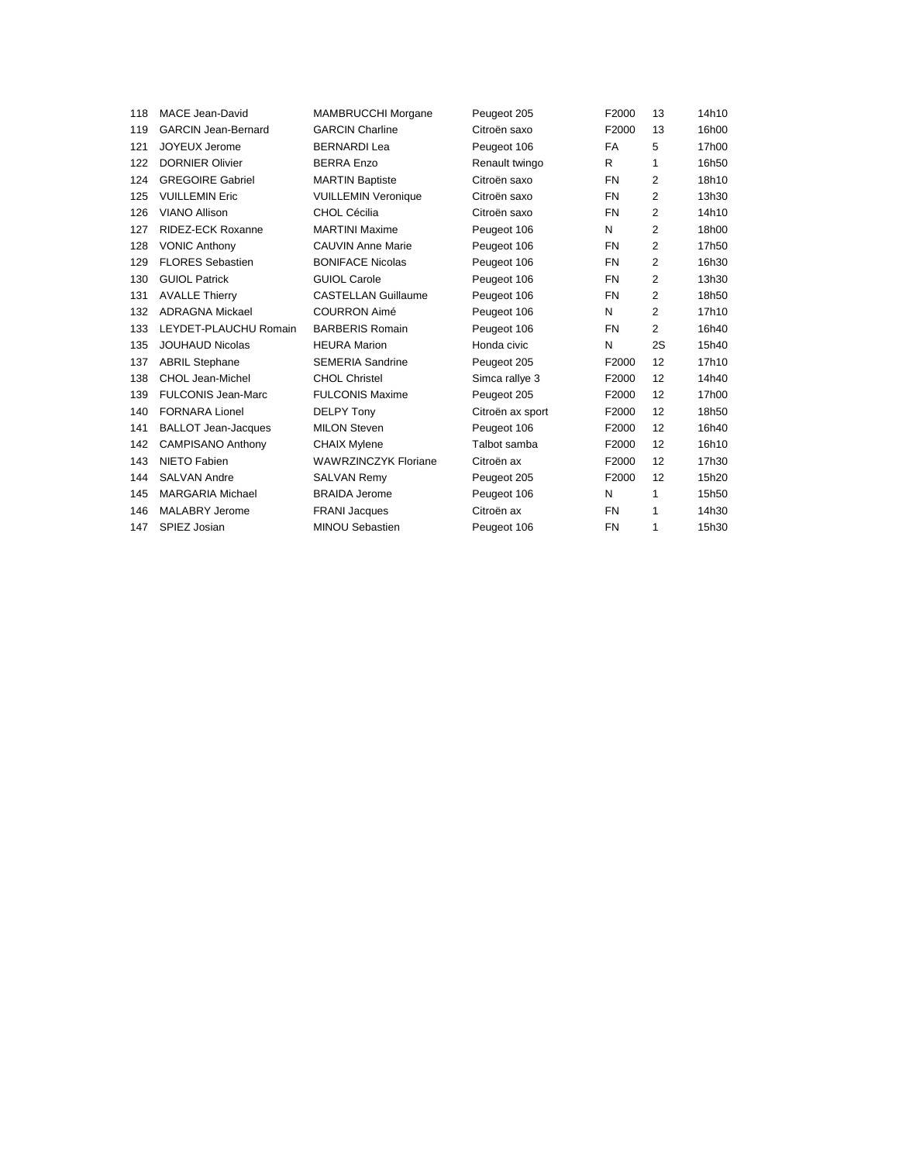| 118 | MACE Jean-David            | <b>MAMBRUCCHI Morgane</b>   | Peugeot 205      | F2000     | 13             | 14h10 |
|-----|----------------------------|-----------------------------|------------------|-----------|----------------|-------|
| 119 | <b>GARCIN Jean-Bernard</b> | <b>GARCIN Charline</b>      | Citroën saxo     | F2000     | 13             | 16h00 |
| 121 | JOYEUX Jerome              | <b>BERNARDI Lea</b>         | Peugeot 106      | FA        | 5              | 17h00 |
| 122 | <b>DORNIER Olivier</b>     | <b>BERRA Enzo</b>           | Renault twingo   | R         | 1              | 16h50 |
| 124 | <b>GREGOIRE Gabriel</b>    | <b>MARTIN Baptiste</b>      | Citroën saxo     | <b>FN</b> | 2              | 18h10 |
| 125 | <b>VUILLEMIN Eric</b>      | <b>VUILLEMIN Veronique</b>  | Citroën saxo     | <b>FN</b> | 2              | 13h30 |
| 126 | VIANO Allison              | CHOL Cécilia                | Citroën saxo     | <b>FN</b> | 2              | 14h10 |
| 127 | RIDEZ-ECK Roxanne          | <b>MARTINI Maxime</b>       | Peugeot 106      | N         | $\overline{2}$ | 18h00 |
| 128 | <b>VONIC Anthony</b>       | <b>CAUVIN Anne Marie</b>    | Peugeot 106      | <b>FN</b> | 2              | 17h50 |
| 129 | <b>FLORES Sebastien</b>    | <b>BONIFACE Nicolas</b>     | Peugeot 106      | FN        | $\overline{2}$ | 16h30 |
| 130 | <b>GUIOL Patrick</b>       | <b>GUIOL Carole</b>         | Peugeot 106      | <b>FN</b> | 2              | 13h30 |
| 131 | <b>AVALLE Thierry</b>      | <b>CASTELLAN Guillaume</b>  | Peugeot 106      | FN        | $\overline{2}$ | 18h50 |
| 132 | <b>ADRAGNA Mickael</b>     | <b>COURRON Aimé</b>         | Peugeot 106      | N         | $\overline{2}$ | 17h10 |
| 133 | LEYDET-PLAUCHU Romain      | <b>BARBERIS Romain</b>      | Peugeot 106      | <b>FN</b> | $\overline{2}$ | 16h40 |
| 135 | <b>JOUHAUD Nicolas</b>     | <b>HEURA Marion</b>         | Honda civic      | N         | 2S             | 15h40 |
| 137 | <b>ABRIL Stephane</b>      | <b>SEMERIA Sandrine</b>     | Peugeot 205      | F2000     | 12             | 17h10 |
| 138 | CHOL Jean-Michel           | <b>CHOL Christel</b>        | Simca rallye 3   | F2000     | 12             | 14h40 |
| 139 | <b>FULCONIS Jean-Marc</b>  | <b>FULCONIS Maxime</b>      | Peugeot 205      | F2000     | 12             | 17h00 |
| 140 | <b>FORNARA Lionel</b>      | DELPY Tony                  | Citroën ax sport | F2000     | 12             | 18h50 |
| 141 | <b>BALLOT Jean-Jacques</b> | <b>MILON Steven</b>         | Peugeot 106      | F2000     | 12             | 16h40 |
| 142 | <b>CAMPISANO Anthony</b>   | <b>CHAIX Mylene</b>         | Talbot samba     | F2000     | 12             | 16h10 |
| 143 | NIETO Fabien               | <b>WAWRZINCZYK Floriane</b> | Citroën ax       | F2000     | 12             | 17h30 |
| 144 | <b>SALVAN Andre</b>        | <b>SALVAN Remy</b>          | Peugeot 205      | F2000     | 12             | 15h20 |
| 145 | <b>MARGARIA Michael</b>    | <b>BRAIDA Jerome</b>        | Peugeot 106      | N         | 1              | 15h50 |
| 146 | <b>MALABRY Jerome</b>      | <b>FRANI</b> Jacques        | Citroën ax       | <b>FN</b> | 1              | 14h30 |
| 147 | SPIEZ Josian               | <b>MINOU Sebastien</b>      | Peugeot 106      | <b>FN</b> | 1              | 15h30 |
|     |                            |                             |                  |           |                |       |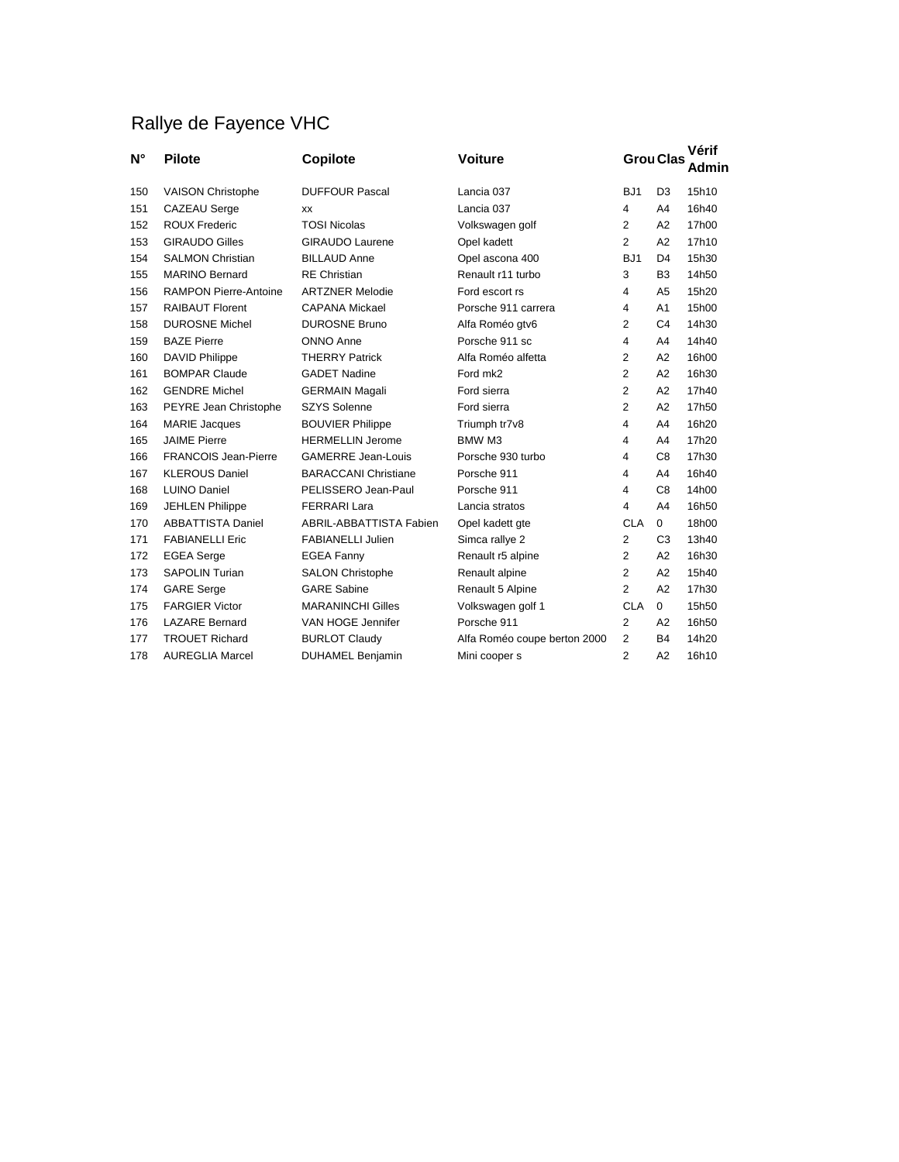## Rallye de Fayence VHC

| $N^{\circ}$ | <b>Pilote</b>                | Copilote                       | <b>Voiture</b>               |                 | <b>Grou Clas</b> | Vérif<br>Admin |
|-------------|------------------------------|--------------------------------|------------------------------|-----------------|------------------|----------------|
| 150         | <b>VAISON Christophe</b>     | <b>DUFFOUR Pascal</b>          | Lancia 037                   | BJ <sub>1</sub> | D <sub>3</sub>   | 15h10          |
| 151         | <b>CAZEAU</b> Serge          | <b>XX</b>                      | Lancia 037                   | $\overline{4}$  | A4               | 16h40          |
| 152         | <b>ROUX Frederic</b>         | <b>TOSI Nicolas</b>            | Volkswagen golf              | 2               | A <sub>2</sub>   | 17h00          |
| 153         | <b>GIRAUDO Gilles</b>        | <b>GIRAUDO Laurene</b>         | Opel kadett                  | $\overline{2}$  | A2               | 17h10          |
| 154         | <b>SALMON Christian</b>      | <b>BILLAUD Anne</b>            | Opel ascona 400              | BJ <sub>1</sub> | D <sub>4</sub>   | 15h30          |
| 155         | <b>MARINO Bernard</b>        | <b>RE</b> Christian            | Renault r11 turbo            | 3               | B <sub>3</sub>   | 14h50          |
| 156         | <b>RAMPON Pierre-Antoine</b> | <b>ARTZNER Melodie</b>         | Ford escort rs               | 4               | A <sub>5</sub>   | 15h20          |
| 157         | <b>RAIBAUT Florent</b>       | <b>CAPANA Mickael</b>          | Porsche 911 carrera          | $\overline{4}$  | A1               | 15h00          |
| 158         | <b>DUROSNE Michel</b>        | <b>DUROSNE Bruno</b>           | Alfa Roméo gtv6              | 2               | C <sub>4</sub>   | 14h30          |
| 159         | <b>BAZE Pierre</b>           | ONNO Anne                      | Porsche 911 sc               | 4               | A4               | 14h40          |
| 160         | <b>DAVID Philippe</b>        | <b>THERRY Patrick</b>          | Alfa Roméo alfetta           | 2               | A2               | 16h00          |
| 161         | <b>BOMPAR Claude</b>         | <b>GADET Nadine</b>            | Ford mk2                     | 2               | A2               | 16h30          |
| 162         | <b>GENDRE Michel</b>         | <b>GERMAIN Magali</b>          | Ford sierra                  | 2               | A2               | 17h40          |
| 163         | PEYRE Jean Christophe        | <b>SZYS Solenne</b>            | Ford sierra                  | 2               | A2               | 17h50          |
| 164         | <b>MARIE Jacques</b>         | <b>BOUVIER Philippe</b>        | Triumph tr7v8                | $\overline{4}$  | A4               | 16h20          |
| 165         | <b>JAIME Pierre</b>          | <b>HERMELLIN Jerome</b>        | BMW M3                       | $\overline{4}$  | A4               | 17h20          |
| 166         | <b>FRANCOIS Jean-Pierre</b>  | <b>GAMERRE Jean-Louis</b>      | Porsche 930 turbo            | 4               | C <sub>8</sub>   | 17h30          |
| 167         | <b>KLEROUS Daniel</b>        | <b>BARACCANI Christiane</b>    | Porsche 911                  | 4               | A4               | 16h40          |
| 168         | <b>LUINO Daniel</b>          | PELISSERO Jean-Paul            | Porsche 911                  | 4               | C <sub>8</sub>   | 14h00          |
| 169         | <b>JEHLEN Philippe</b>       | <b>FERRARI Lara</b>            | Lancia stratos               | 4               | A4               | 16h50          |
| 170         | <b>ABBATTISTA Daniel</b>     | <b>ABRIL-ABBATTISTA Fabien</b> | Opel kadett gte              | <b>CLA</b>      | $\mathbf 0$      | 18h00          |
| 171         | <b>FABIANELLI Eric</b>       | <b>FABIANELLI Julien</b>       | Simca rallye 2               | $\overline{2}$  | C <sub>3</sub>   | 13h40          |
| 172         | <b>EGEA</b> Serge            | <b>EGEA Fanny</b>              | Renault r5 alpine            | $\overline{2}$  | A2               | 16h30          |
| 173         | <b>SAPOLIN Turian</b>        | <b>SALON Christophe</b>        | Renault alpine               | $\overline{2}$  | A2               | 15h40          |
| 174         | <b>GARE</b> Serge            | <b>GARE Sabine</b>             | Renault 5 Alpine             | $\overline{2}$  | A2               | 17h30          |
| 175         | <b>FARGIER Victor</b>        | <b>MARANINCHI Gilles</b>       | Volkswagen golf 1            | <b>CLA</b>      | $\mathbf 0$      | 15h50          |
| 176         | <b>LAZARE Bernard</b>        | VAN HOGE Jennifer              | Porsche 911                  | $\overline{2}$  | A2               | 16h50          |
| 177         | <b>TROUET Richard</b>        | <b>BURLOT Claudy</b>           | Alfa Roméo coupe berton 2000 | $\overline{2}$  | <b>B4</b>        | 14h20          |
| 178         | <b>AUREGLIA Marcel</b>       | <b>DUHAMEL Benjamin</b>        | Mini cooper s                | $\overline{2}$  | A <sub>2</sub>   | 16h10          |